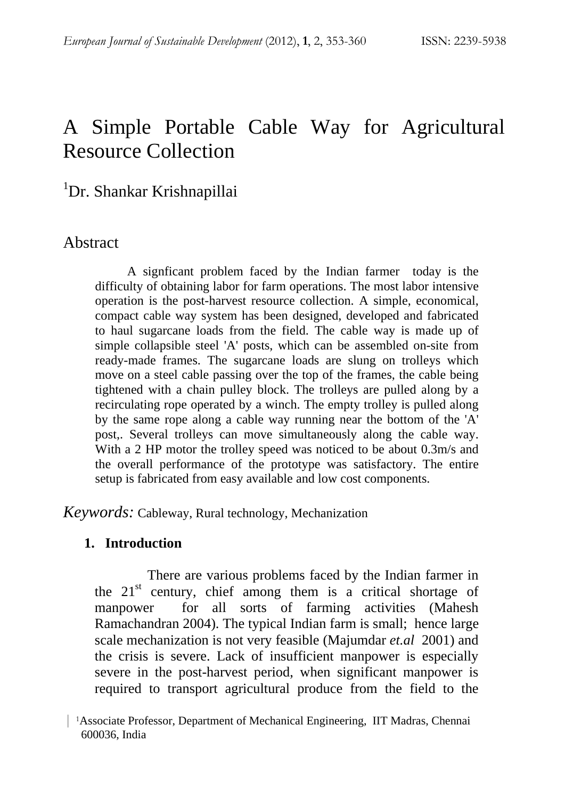# A Simple Portable Cable Way for Agricultural Resource Collection

# <sup>1</sup>Dr. Shankar Krishnapillai

### Abstract

A signficant problem faced by the Indian farmer today is the difficulty of obtaining labor for farm operations. The most labor intensive operation is the post-harvest resource collection. A simple, economical, compact cable way system has been designed, developed and fabricated to haul sugarcane loads from the field. The cable way is made up of simple collapsible steel 'A' posts, which can be assembled on-site from ready-made frames. The sugarcane loads are slung on trolleys which move on a steel cable passing over the top of the frames, the cable being tightened with a chain pulley block. The trolleys are pulled along by a recirculating rope operated by a winch. The empty trolley is pulled along by the same rope along a cable way running near the bottom of the 'A' post,. Several trolleys can move simultaneously along the cable way. With a 2 HP motor the trolley speed was noticed to be about 0.3m/s and the overall performance of the prototype was satisfactory. The entire setup is fabricated from easy available and low cost components.

*Keywords:* Cableway, Rural technology, Mechanization

### **1. Introduction**

There are various problems faced by the Indian farmer in the  $21<sup>st</sup>$  century, chief among them is a critical shortage of manpower for all sorts of farming activities (Mahesh Ramachandran 2004). The typical Indian farm is small; hence large scale mechanization is not very feasible (Majumdar *et.al* 2001) and the crisis is severe. Lack of insufficient manpower is especially severe in the post-harvest period, when significant manpower is required to transport agricultural produce from the field to the

 <sup>|</sup> 1Associate Professor, Department of Mechanical Engineering, IIT Madras, Chennai 600036, India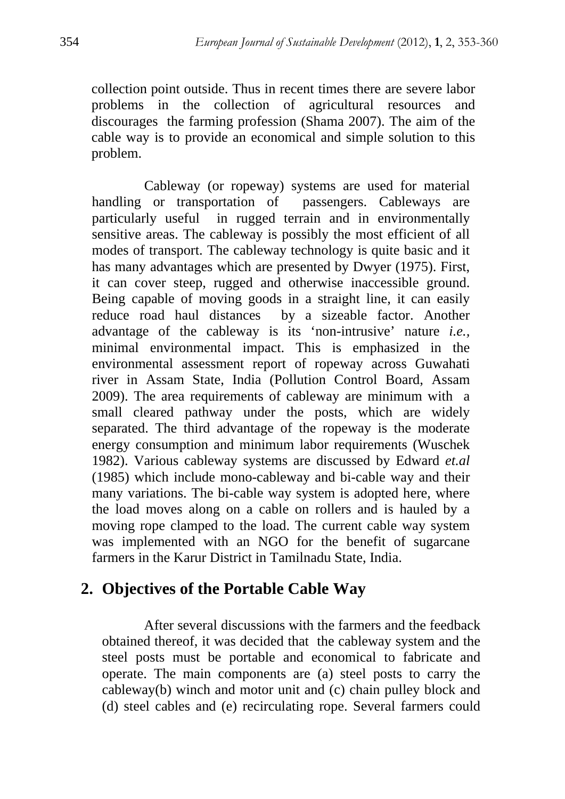collection point outside. Thus in recent times there are severe labor problems in the collection of agricultural resources and discourages the farming profession (Shama 2007). The aim of the cable way is to provide an economical and simple solution to this problem.

Cableway (or ropeway) systems are used for material handling or transportation of passengers. Cableways are particularly useful in rugged terrain and in environmentally sensitive areas. The cableway is possibly the most efficient of all modes of transport. The cableway technology is quite basic and it has many advantages which are presented by Dwyer (1975). First, it can cover steep, rugged and otherwise inaccessible ground. Being capable of moving goods in a straight line, it can easily reduce road haul distances by a sizeable factor. Another advantage of the cableway is its 'non-intrusive' nature *i.e.,* minimal environmental impact. This is emphasized in the environmental assessment report of ropeway across Guwahati river in Assam State, India (Pollution Control Board, Assam 2009). The area requirements of cableway are minimum with a small cleared pathway under the posts, which are widely separated. The third advantage of the ropeway is the moderate energy consumption and minimum labor requirements (Wuschek 1982). Various cableway systems are discussed by Edward *et.al* (1985) which include mono-cableway and bi-cable way and their many variations. The bi-cable way system is adopted here, where the load moves along on a cable on rollers and is hauled by a moving rope clamped to the load. The current cable way system was implemented with an NGO for the benefit of sugarcane farmers in the Karur District in Tamilnadu State, India.

# **2. Objectives of the Portable Cable Way**

After several discussions with the farmers and the feedback obtained thereof, it was decided that the cableway system and the steel posts must be portable and economical to fabricate and operate. The main components are (a) steel posts to carry the cableway(b) winch and motor unit and (c) chain pulley block and (d) steel cables and (e) recirculating rope. Several farmers could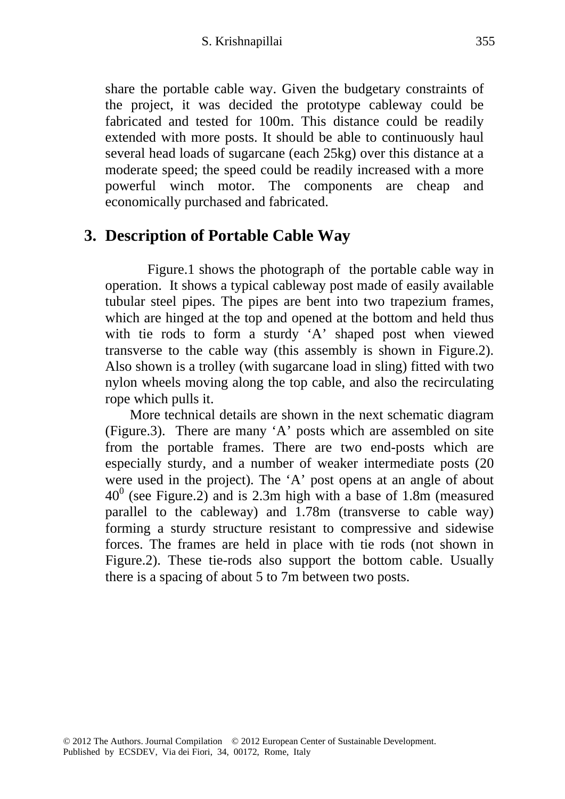#### S. Krishnapillai 355

share the portable cable way. Given the budgetary constraints of the project, it was decided the prototype cableway could be fabricated and tested for 100m. This distance could be readily extended with more posts. It should be able to continuously haul several head loads of sugarcane (each 25kg) over this distance at a moderate speed; the speed could be readily increased with a more powerful winch motor. The components are cheap and economically purchased and fabricated.

## **3. Description of Portable Cable Way**

 Figure.1 shows the photograph of the portable cable way in operation. It shows a typical cableway post made of easily available tubular steel pipes. The pipes are bent into two trapezium frames, which are hinged at the top and opened at the bottom and held thus with tie rods to form a sturdy 'A' shaped post when viewed transverse to the cable way (this assembly is shown in Figure.2). Also shown is a trolley (with sugarcane load in sling) fitted with two nylon wheels moving along the top cable, and also the recirculating rope which pulls it.

 More technical details are shown in the next schematic diagram (Figure.3). There are many 'A' posts which are assembled on site from the portable frames. There are two end-posts which are especially sturdy, and a number of weaker intermediate posts (20 were used in the project). The 'A' post opens at an angle of about  $40^0$  (see Figure.2) and is 2.3m high with a base of 1.8m (measured parallel to the cableway) and 1.78m (transverse to cable way) forming a sturdy structure resistant to compressive and sidewise forces. The frames are held in place with tie rods (not shown in Figure.2). These tie-rods also support the bottom cable. Usually there is a spacing of about 5 to 7m between two posts.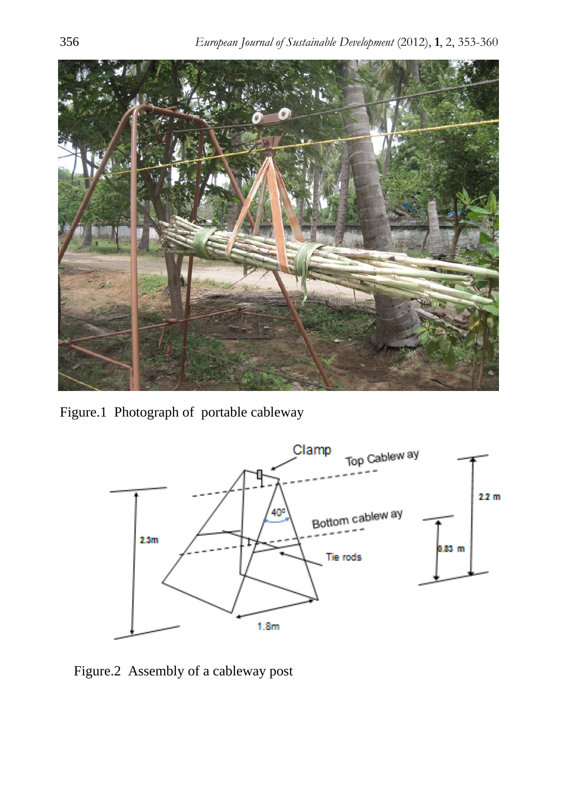

Figure.1 Photograph of portable cableway



Figure.2 Assembly of a cableway post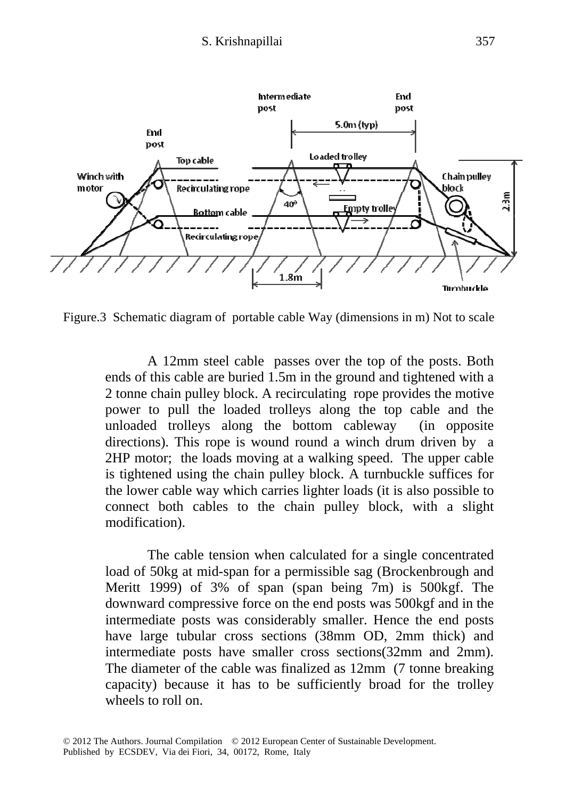

Figure.3 Schematic diagram of portable cable Way (dimensions in m) Not to scale

 A 12mm steel cable passes over the top of the posts. Both ends of this cable are buried 1.5m in the ground and tightened with a 2 tonne chain pulley block. A recirculating rope provides the motive power to pull the loaded trolleys along the top cable and the unloaded trolleys along the bottom cableway (in opposite directions). This rope is wound round a winch drum driven by a 2HP motor; the loads moving at a walking speed. The upper cable is tightened using the chain pulley block. A turnbuckle suffices for the lower cable way which carries lighter loads (it is also possible to connect both cables to the chain pulley block, with a slight modification).

 The cable tension when calculated for a single concentrated load of 50kg at mid-span for a permissible sag (Brockenbrough and Meritt 1999) of 3% of span (span being 7m) is 500kgf. The downward compressive force on the end posts was 500kgf and in the intermediate posts was considerably smaller. Hence the end posts have large tubular cross sections (38mm OD, 2mm thick) and intermediate posts have smaller cross sections(32mm and 2mm). The diameter of the cable was finalized as 12mm (7 tonne breaking capacity) because it has to be sufficiently broad for the trolley wheels to roll on.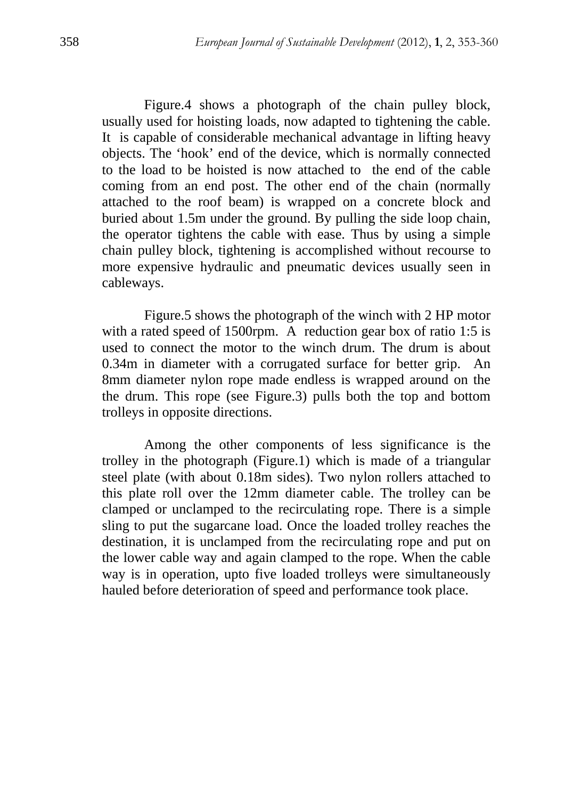Figure.4 shows a photograph of the chain pulley block, usually used for hoisting loads, now adapted to tightening the cable. It is capable of considerable mechanical advantage in lifting heavy objects. The 'hook' end of the device, which is normally connected to the load to be hoisted is now attached to the end of the cable coming from an end post. The other end of the chain (normally attached to the roof beam) is wrapped on a concrete block and buried about 1.5m under the ground. By pulling the side loop chain, the operator tightens the cable with ease. Thus by using a simple chain pulley block, tightening is accomplished without recourse to more expensive hydraulic and pneumatic devices usually seen in cableways.

 Figure.5 shows the photograph of the winch with 2 HP motor with a rated speed of 1500rpm. A reduction gear box of ratio 1:5 is used to connect the motor to the winch drum. The drum is about 0.34m in diameter with a corrugated surface for better grip. An 8mm diameter nylon rope made endless is wrapped around on the the drum. This rope (see Figure.3) pulls both the top and bottom trolleys in opposite directions.

 Among the other components of less significance is the trolley in the photograph (Figure.1) which is made of a triangular steel plate (with about 0.18m sides). Two nylon rollers attached to this plate roll over the 12mm diameter cable. The trolley can be clamped or unclamped to the recirculating rope. There is a simple sling to put the sugarcane load. Once the loaded trolley reaches the destination, it is unclamped from the recirculating rope and put on the lower cable way and again clamped to the rope. When the cable way is in operation, upto five loaded trolleys were simultaneously hauled before deterioration of speed and performance took place.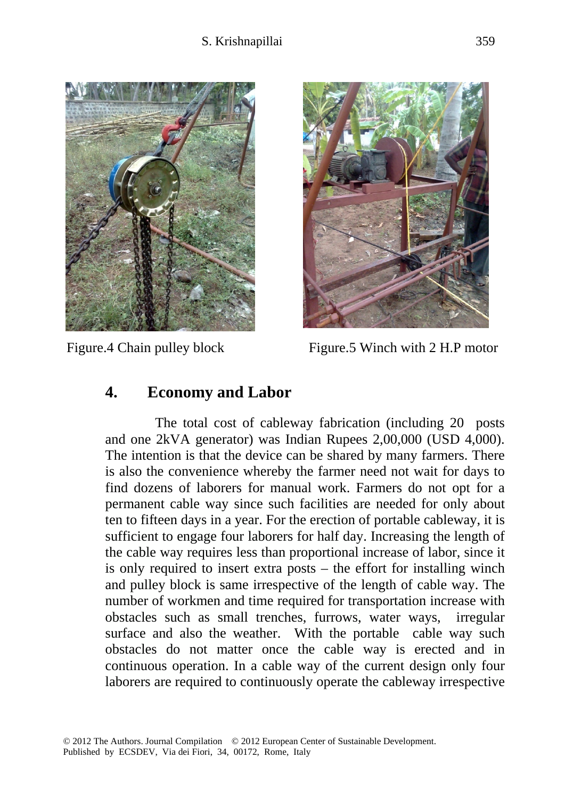



Figure.4 Chain pulley block Figure.5 Winch with 2 H.P motor

## **4. Economy and Labor**

 The total cost of cableway fabrication (including 20 posts and one 2kVA generator) was Indian Rupees 2,00,000 (USD 4,000). The intention is that the device can be shared by many farmers. There is also the convenience whereby the farmer need not wait for days to find dozens of laborers for manual work. Farmers do not opt for a permanent cable way since such facilities are needed for only about ten to fifteen days in a year. For the erection of portable cableway, it is sufficient to engage four laborers for half day. Increasing the length of the cable way requires less than proportional increase of labor, since it is only required to insert extra posts – the effort for installing winch and pulley block is same irrespective of the length of cable way. The number of workmen and time required for transportation increase with obstacles such as small trenches, furrows, water ways, irregular surface and also the weather. With the portable cable way such obstacles do not matter once the cable way is erected and in continuous operation. In a cable way of the current design only four laborers are required to continuously operate the cableway irrespective